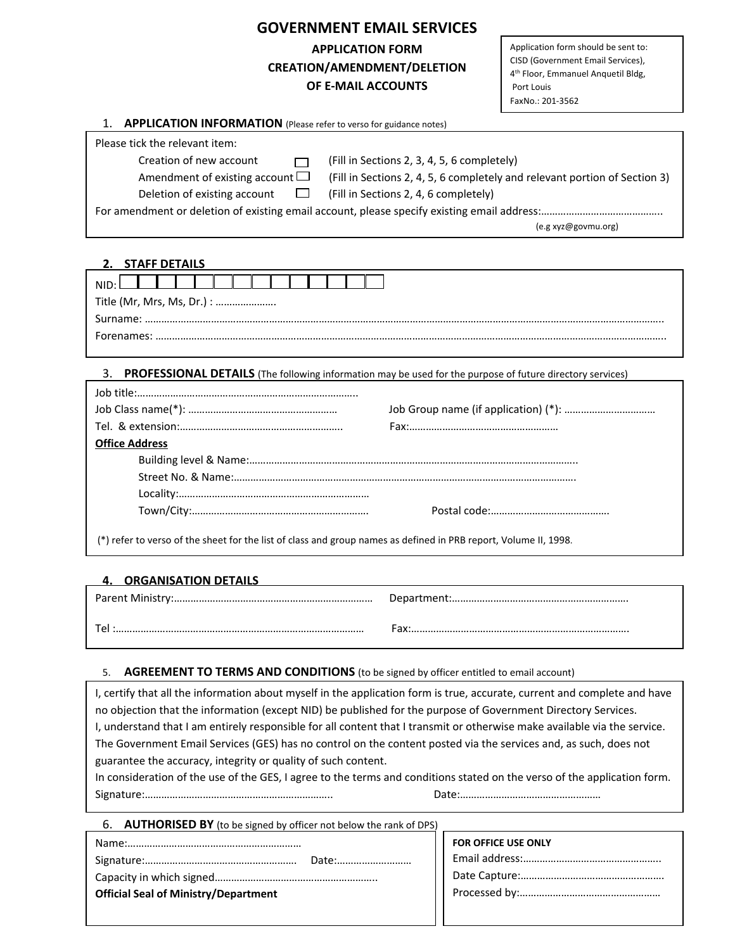# **GOVERNMENT EMAIL SERVICES APPLICATION FORM CREATION/AMENDMENT/DELETION OF E‐MAIL ACCOUNTS**

Application form should be sent to: CISD (Government Email Services), 4th Floor, Emmanuel Anquetil Bldg, Port Louis FaxNo.: 201‐3562

#### 1. **APPLICATION INFORMATION** (Please refer to verso for guidance notes)

| Please tick the relevant item:       |                                                                            |  |
|--------------------------------------|----------------------------------------------------------------------------|--|
| Creation of new account              | (Fill in Sections 2, 3, 4, 5, 6 completely)                                |  |
| Amendment of existing account $\Box$ | (Fill in Sections 2, 4, 5, 6 completely and relevant portion of Section 3) |  |
| Deletion of existing account $\Box$  | (Fill in Sections 2, 4, 6 completely)                                      |  |
|                                      |                                                                            |  |
|                                      | (e.g xyz@govmu.org)                                                        |  |

# **2. STAFF DETAILS**

|  | NIID∙ I<br>Title (Mr, Mrs, Ms, Dr.) : |  |  |  |  |
|--|---------------------------------------|--|--|--|--|
|  |                                       |  |  |  |  |
|  |                                       |  |  |  |  |

### 3. **PROFESSIONAL DETAILS** (The following information may be used for the purpose of future directory services)

| <b>Office Address</b> |  |  |
|-----------------------|--|--|
|                       |  |  |
|                       |  |  |
|                       |  |  |
|                       |  |  |
|                       |  |  |

(\*) refer to verso of the sheet for the list of class and group names as defined in PRB report, Volume II, 1998.

# **4. ORGANISATION DETAILS**

| rax. |
|------|

## 5. **AGREEMENT TO TERMS AND CONDITIONS** (to be signed by officer entitled to email account)

I, certify that all the information about myself in the application form is true, accurate, current and complete and have no objection that the information (except NID) be published for the purpose of Government Directory Services. I, understand that I am entirely responsible for all content that I transmit or otherwise make available via the service. The Government Email Services (GES) has no control on the content posted via the services and, as such, does not guarantee the accuracy, integrity or quality of such content.

In consideration of the use of the GES, I agree to the terms and conditions stated on the verso of the application form. Signature:………………………………………………………….. Date:……………………………………………

|                                             | FOR OFFICE USE ONLY |
|---------------------------------------------|---------------------|
|                                             |                     |
|                                             |                     |
| <b>Official Seal of Ministry/Department</b> |                     |
|                                             |                     |